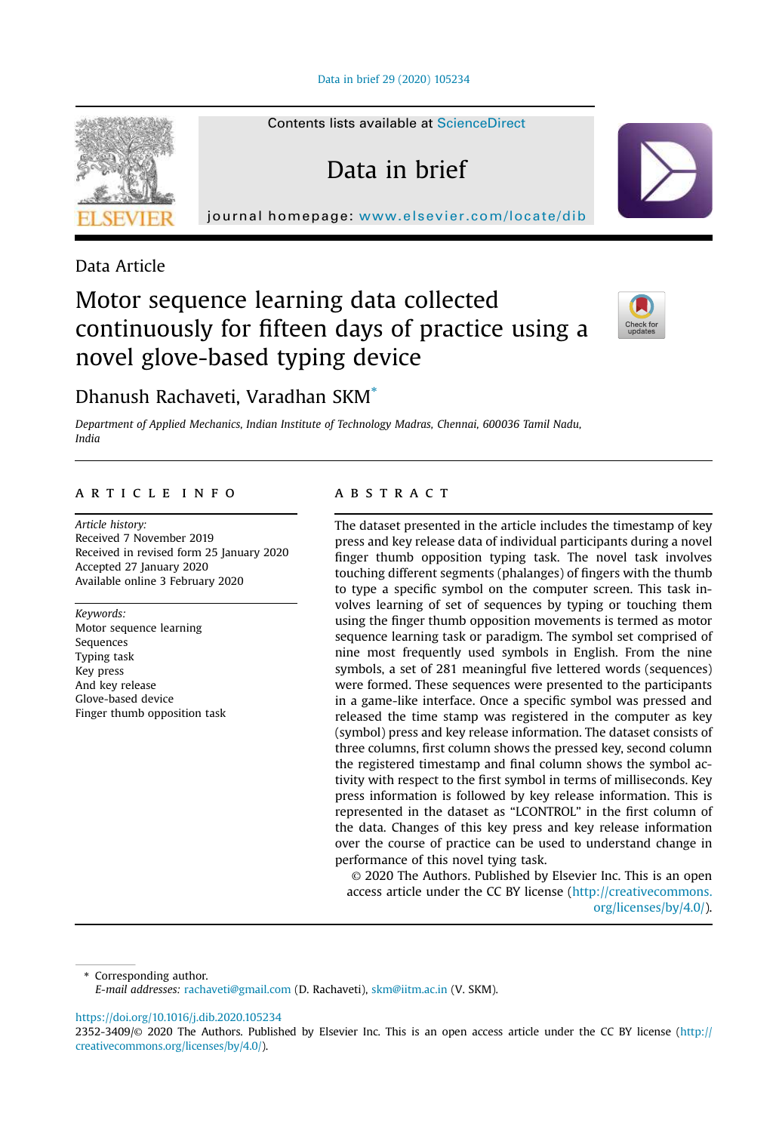Data in brief 29 (2020) 105234

Contents lists available at ScienceDirect

Data in brief

journal homepage: www.elsevier.com/locate/dib



Data Article

# Motor sequence learning data collected continuously for fifteen days of practice using a novel glove-based typing device



# Dhanush Rachaveti, Varadhan SKM\*

*Department of Applied Mechanics, Indian Institute of Technology Madras, Chennai, 600036 Tamil Nadu, India*

# article info

*Article history:* Received 7 November 2019 Received in revised form 25 January 2020 Accepted 27 January 2020 Available online 3 February 2020

*Keywords:* Motor sequence learning Sequences Typing task Key press And key release Glove-based device Finger thumb opposition task

# **ABSTRACT**

The dataset presented in the article includes the timestamp of key press and key release data of individual participants during a novel finger thumb opposition typing task. The novel task involves touching different segments (phalanges) of fingers with the thumb to type a specific symbol on the computer screen. This task involves learning of set of sequences by typing or touching them using the finger thumb opposition movements is termed as motor sequence learning task or paradigm. The symbol set comprised of nine most frequently used symbols in English. From the nine symbols, a set of 281 meaningful five lettered words (sequences) were formed. These sequences were presented to the participants in a game-like interface. Once a specific symbol was pressed and released the time stamp was registered in the computer as key (symbol) press and key release information. The dataset consists of three columns, first column shows the pressed key, second column the registered timestamp and final column shows the symbol activity with respect to the first symbol in terms of milliseconds. Key press information is followed by key release information. This is represented in the dataset as "LCONTROL" in the first column of the data. Changes of this key press and key release information over the course of practice can be used to understand change in performance of this novel tying task.

© 2020 The Authors. Published by Elsevier Inc. This is an open access article under the CC BY license (http://creativecommons. org/licenses/by/4.0/).

\* Corresponding author.

https://doi.org/10.1016/j.dib.2020.105234

*E-mail addresses:* rachaveti@gmail.com (D. Rachaveti), skm@iitm.ac.in (V. SKM).

<sup>2352-3409/</sup>© 2020 The Authors. Published by Elsevier Inc. This is an open access article under the CC BY license (http:// creativecommons.org/licenses/by/4.0/).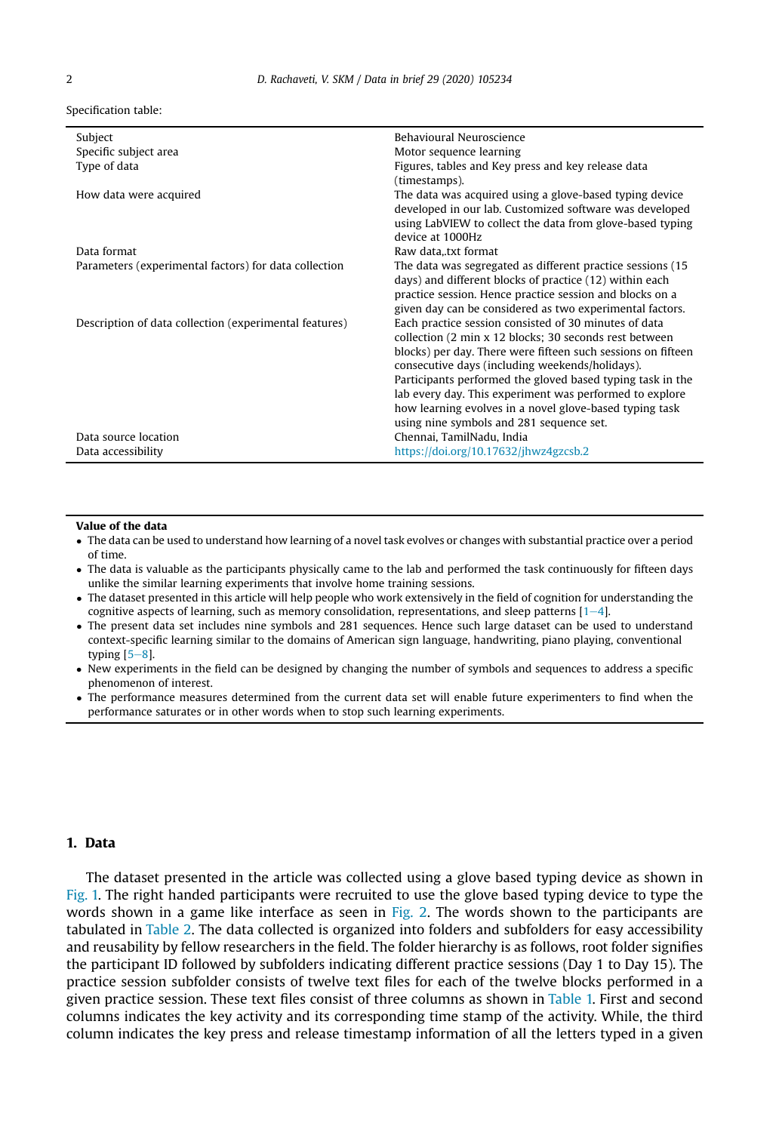Specification table:

| Subject                                                | Behavioural Neuroscience                                     |
|--------------------------------------------------------|--------------------------------------------------------------|
| Specific subject area                                  | Motor sequence learning                                      |
| Type of data                                           | Figures, tables and Key press and key release data           |
|                                                        | (timestamps).                                                |
| How data were acquired                                 | The data was acquired using a glove-based typing device      |
|                                                        | developed in our lab. Customized software was developed      |
|                                                        | using LabVIEW to collect the data from glove-based typing    |
|                                                        | device at 1000Hz                                             |
| Data format                                            | Raw data, txt format                                         |
| Parameters (experimental factors) for data collection  | The data was segregated as different practice sessions (15)  |
|                                                        | days) and different blocks of practice (12) within each      |
|                                                        | practice session. Hence practice session and blocks on a     |
|                                                        | given day can be considered as two experimental factors.     |
| Description of data collection (experimental features) | Each practice session consisted of 30 minutes of data        |
|                                                        | collection (2 min x 12 blocks; 30 seconds rest between       |
|                                                        | blocks) per day. There were fifteen such sessions on fifteen |
|                                                        | consecutive days (including weekends/holidays).              |
|                                                        | Participants performed the gloved based typing task in the   |
|                                                        | lab every day. This experiment was performed to explore      |
|                                                        | how learning evolves in a novel glove-based typing task      |
|                                                        | using nine symbols and 281 sequence set.                     |
| Data source location                                   | Chennai, TamilNadu, India                                    |
| Data accessibility                                     | https://doi.org/10.17632/jhwz4gzcsb.2                        |

#### Value of the data

- The data can be used to understand how learning of a novel task evolves or changes with substantial practice over a period of time.
- The data is valuable as the participants physically came to the lab and performed the task continuously for fifteen days unlike the similar learning experiments that involve home training sessions.
- The dataset presented in this article will help people who work extensively in the field of cognition for understanding the cognitive aspects of learning, such as memory consolidation, representations, and sleep patterns  $[1-4]$ .
- The present data set includes nine symbols and 281 sequences. Hence such large dataset can be used to understand context-specific learning similar to the domains of American sign language, handwriting, piano playing, conventional typing  $[5-8]$ .
- New experiments in the field can be designed by changing the number of symbols and sequences to address a specific phenomenon of interest.
- The performance measures determined from the current data set will enable future experimenters to find when the performance saturates or in other words when to stop such learning experiments.

# 1. Data

The dataset presented in the article was collected using a glove based typing device as shown in Fig. 1. The right handed participants were recruited to use the glove based typing device to type the words shown in a game like interface as seen in Fig. 2. The words shown to the participants are tabulated in Table 2. The data collected is organized into folders and subfolders for easy accessibility and reusability by fellow researchers in the field. The folder hierarchy is as follows, root folder signifies the participant ID followed by subfolders indicating different practice sessions (Day 1 to Day 15). The practice session subfolder consists of twelve text files for each of the twelve blocks performed in a given practice session. These text files consist of three columns as shown in Table 1. First and second columns indicates the key activity and its corresponding time stamp of the activity. While, the third column indicates the key press and release timestamp information of all the letters typed in a given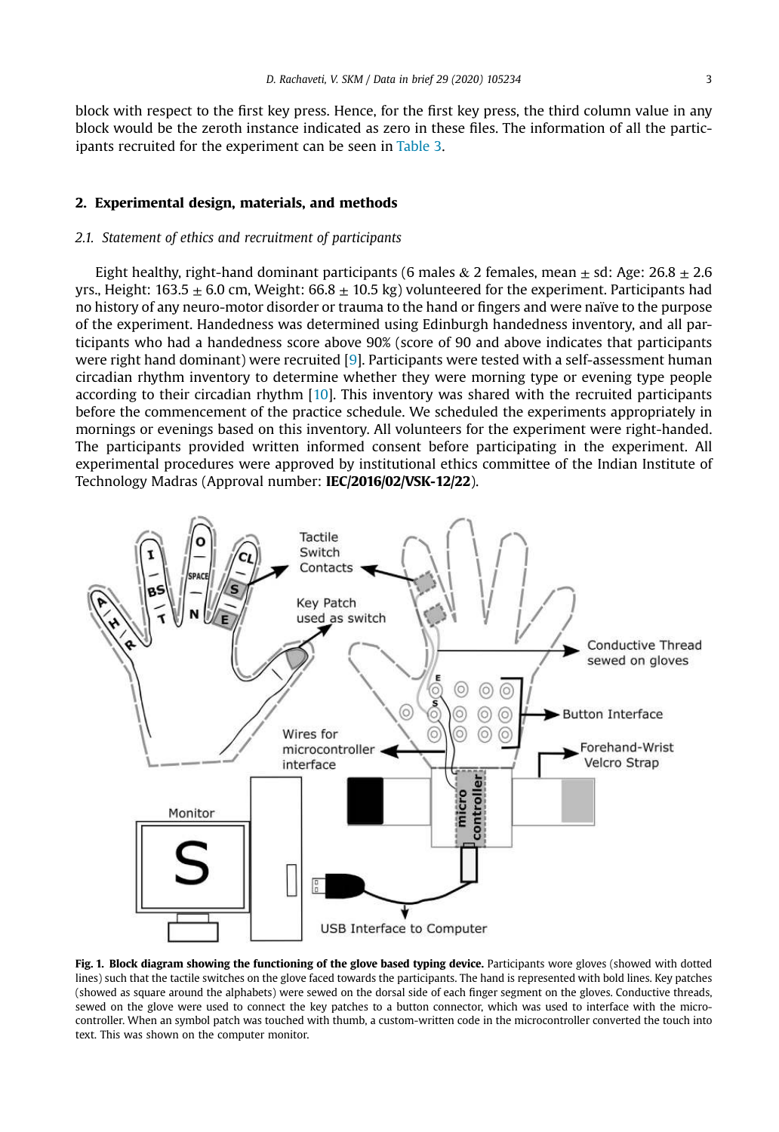block with respect to the first key press. Hence, for the first key press, the third column value in any block would be the zeroth instance indicated as zero in these files. The information of all the participants recruited for the experiment can be seen in Table 3.

#### 2. Experimental design, materials, and methods

#### *2.1. Statement of ethics and recruitment of participants*

Eight healthy, right-hand dominant participants (6 males & 2 females, mean  $\pm$  sd: Age: 26.8  $\pm$  2.6 yrs., Height:  $163.5 \pm 6.0$  cm, Weight:  $66.8 \pm 10.5$  kg) volunteered for the experiment. Participants had no history of any neuro-motor disorder or trauma to the hand or fingers and were naïve to the purpose of the experiment. Handedness was determined using Edinburgh handedness inventory, and all participants who had a handedness score above 90% (score of 90 and above indicates that participants were right hand dominant) were recruited [9]. Participants were tested with a self-assessment human circadian rhythm inventory to determine whether they were morning type or evening type people according to their circadian rhythm [10]. This inventory was shared with the recruited participants before the commencement of the practice schedule. We scheduled the experiments appropriately in mornings or evenings based on this inventory. All volunteers for the experiment were right-handed. The participants provided written informed consent before participating in the experiment. All experimental procedures were approved by institutional ethics committee of the Indian Institute of Technology Madras (Approval number: IEC/2016/02/VSK-12/22).



Fig. 1. Block diagram showing the functioning of the glove based typing device. Participants wore gloves (showed with dotted lines) such that the tactile switches on the glove faced towards the participants. The hand is represented with bold lines. Key patches (showed as square around the alphabets) were sewed on the dorsal side of each finger segment on the gloves. Conductive threads, sewed on the glove were used to connect the key patches to a button connector, which was used to interface with the microcontroller. When an symbol patch was touched with thumb, a custom-written code in the microcontroller converted the touch into text. This was shown on the computer monitor.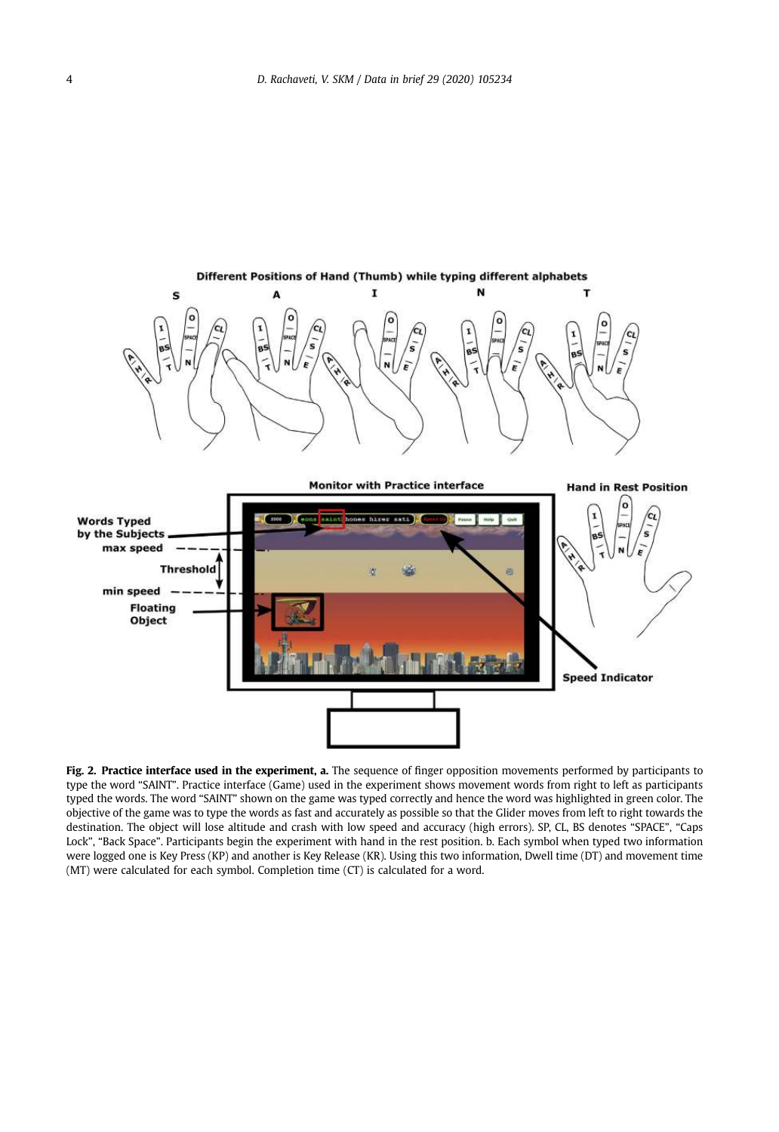

Fig. 2. Practice interface used in the experiment, a. The sequence of finger opposition movements performed by participants to type the word "SAINT". Practice interface (Game) used in the experiment shows movement words from right to left as participants typed the words. The word "SAINT" shown on the game was typed correctly and hence the word was highlighted in green color. The objective of the game was to type the words as fast and accurately as possible so that the Glider moves from left to right towards the destination. The object will lose altitude and crash with low speed and accuracy (high errors). SP, CL, BS denotes "SPACE", "Caps Lock", "Back Space". Participants begin the experiment with hand in the rest position. b. Each symbol when typed two information were logged one is Key Press (KP) and another is Key Release (KR). Using this two information, Dwell time (DT) and movement time (MT) were calculated for each symbol. Completion time (CT) is calculated for a word.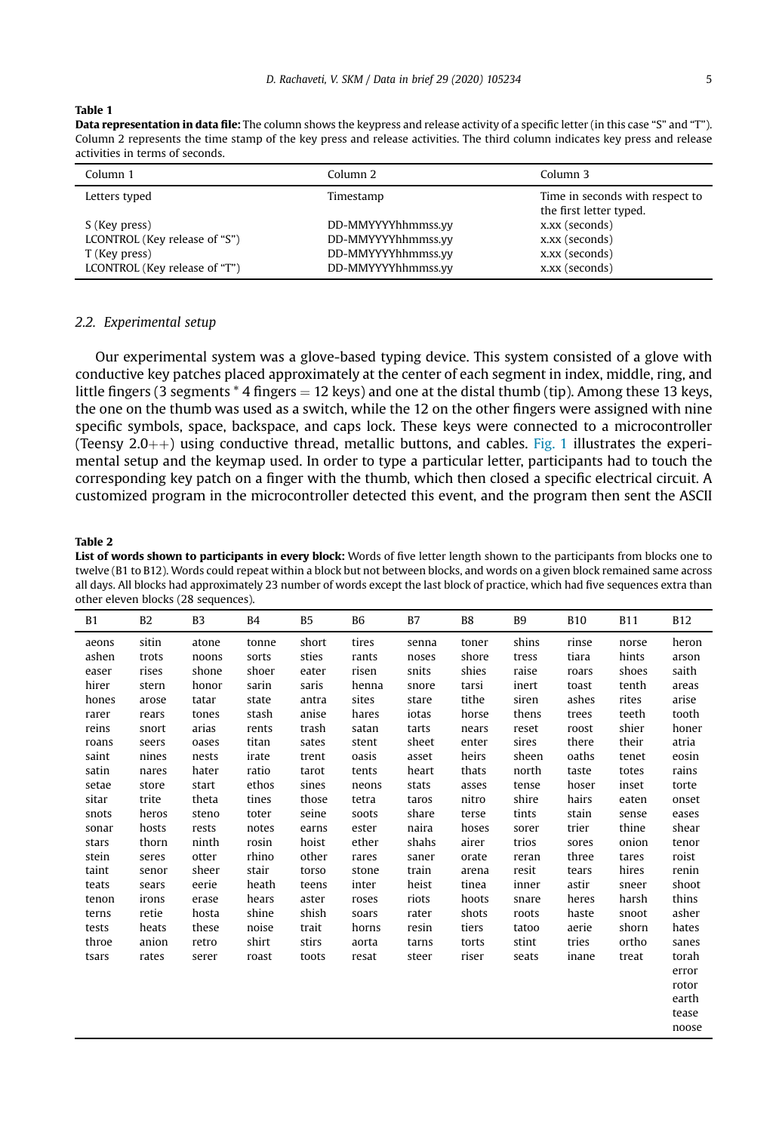#### Table 1

Data representation in data file: The column shows the keypress and release activity of a specific letter (in this case "S" and "T"). Column 2 represents the time stamp of the key press and release activities. The third column indicates key press and release activities in terms of seconds.

| Column 1                      | Column <sub>2</sub> | Column 3                                                   |
|-------------------------------|---------------------|------------------------------------------------------------|
| Letters typed                 | Timestamp           | Time in seconds with respect to<br>the first letter typed. |
| S (Key press)                 | DD-MMYYYYhhmmss.vv  | x,xx (seconds)                                             |
| LCONTROL (Key release of "S") | DD-MMYYYYhhmmss.vv  | x,xx (seconds)                                             |
| T (Key press)                 | DD-MMYYYYhhmmss.vv  | x,xx (seconds)                                             |
| LCONTROL (Key release of "T") | DD-MMYYYYhhmmss.vv  | x,xx (seconds)                                             |

#### *2.2. Experimental setup*

Our experimental system was a glove-based typing device. This system consisted of a glove with conductive key patches placed approximately at the center of each segment in index, middle, ring, and little fingers (3 segments  $*$  4 fingers = 12 keys) and one at the distal thumb (tip). Among these 13 keys, the one on the thumb was used as a switch, while the 12 on the other fingers were assigned with nine specific symbols, space, backspace, and caps lock. These keys were connected to a microcontroller (Teensy 2.0++) using conductive thread, metallic buttons, and cables. Fig. 1 illustrates the experimental setup and the keymap used. In order to type a particular letter, participants had to touch the corresponding key patch on a finger with the thumb, which then closed a specific electrical circuit. A customized program in the microcontroller detected this event, and the program then sent the ASCII

#### Table 2

List of words shown to participants in every block: Words of five letter length shown to the participants from blocks one to twelve (B1 to B12). Words could repeat within a block but not between blocks, and words on a given block remained same across all days. All blocks had approximately 23 number of words except the last block of practice, which had five sequences extra than other eleven blocks (28 sequences).

| B1    | <b>B2</b> | B <sub>3</sub> | <b>B5</b><br>B4 |       | <b>B6</b> | <b>B7</b> | B <sub>8</sub> | B <sub>9</sub> | <b>B10</b> | <b>B11</b> | <b>B12</b> |
|-------|-----------|----------------|-----------------|-------|-----------|-----------|----------------|----------------|------------|------------|------------|
| aeons | sitin     | atone          | tonne           | short | tires     | senna     | toner          | shins          | rinse      | norse      | heron      |
| ashen | trots     | noons          | sorts           | sties | rants     | noses     | shore          | tress          | tiara      | hints      | arson      |
| easer | rises     | shone          | shoer           | eater | risen     | snits     | shies          | raise          | roars      | shoes      | saith      |
| hirer | stern     | honor          | sarin           | saris | henna     | snore     | tarsi          | inert          | toast      | tenth      | areas      |
| hones | arose     | tatar          | state           | antra | sites     | stare     | tithe          | siren          | ashes      | rites      | arise      |
| rarer | rears     | tones          | stash           | anise | hares     | iotas     | horse          | thens          | trees      | teeth      | tooth      |
| reins | snort     | arias          | rents           | trash | satan     | tarts     | nears          | reset          | roost      | shier      | honer      |
| roans | seers     | oases          | titan           | sates | stent     | sheet     | enter          | sires          | there      | their      | atria      |
| saint | nines     | nests          | irate           | trent | oasis     | asset     | heirs          | sheen          | oaths      | tenet      | eosin      |
| satin | nares     | hater          | ratio           | tarot | tents     | heart     | thats          | north          | taste      | totes      | rains      |
| setae | store     | start          | ethos           | sines | neons     | stats     | asses          | tense          | hoser      | inset      | torte      |
| sitar | trite     | theta          | tines           | those | tetra     | taros     | nitro          | shire          | hairs      | eaten      | onset      |
| snots | heros     | steno          | toter           | seine | soots     | share     | terse          | tints          | stain      | sense      | eases      |
| sonar | hosts     | rests          | notes           | earns | ester     | naira     | hoses          | sorer          | trier      | thine      | shear      |
| stars | thorn     | ninth          | rosin           | hoist | ether     | shahs     | airer          | trios          | sores      | onion      | tenor      |
| stein | seres     | otter          | rhino           | other | rares     | saner     | orate          | reran          | three      | tares      | roist      |
| taint | senor     | sheer          | stair           | torso | stone     | train     | arena          | resit          | tears      | hires      | renin      |
| teats | sears     | eerie          | heath           | teens | inter     | heist     | tinea          | inner          | astir      | sneer      | shoot      |
| tenon | irons     | erase          | hears           | aster | roses     | riots     | hoots          | snare          | heres      | harsh      | thins      |
| terns | retie     | hosta          | shine           | shish | soars     | rater     | shots          | roots          | haste      | snoot      | asher      |
| tests | heats     | these          | noise           | trait | horns     | resin     | tiers          | tatoo          | aerie      | shorn      | hates      |
| throe | anion     | retro          | shirt           | stirs | aorta     | tarns     | torts          | stint          | tries      | ortho      | sanes      |
| tsars | rates     | serer          | roast           | toots | resat     | steer     | riser          | seats          | inane      | treat      | torah      |
|       |           |                |                 |       |           |           |                |                |            |            | error      |
|       |           |                |                 |       |           |           |                |                |            |            | rotor      |
|       |           |                |                 |       |           |           |                |                |            |            | earth      |
|       |           |                |                 |       |           |           |                |                |            |            | tease      |
|       |           |                |                 |       |           |           |                |                |            |            | noose      |
|       |           |                |                 |       |           |           |                |                |            |            |            |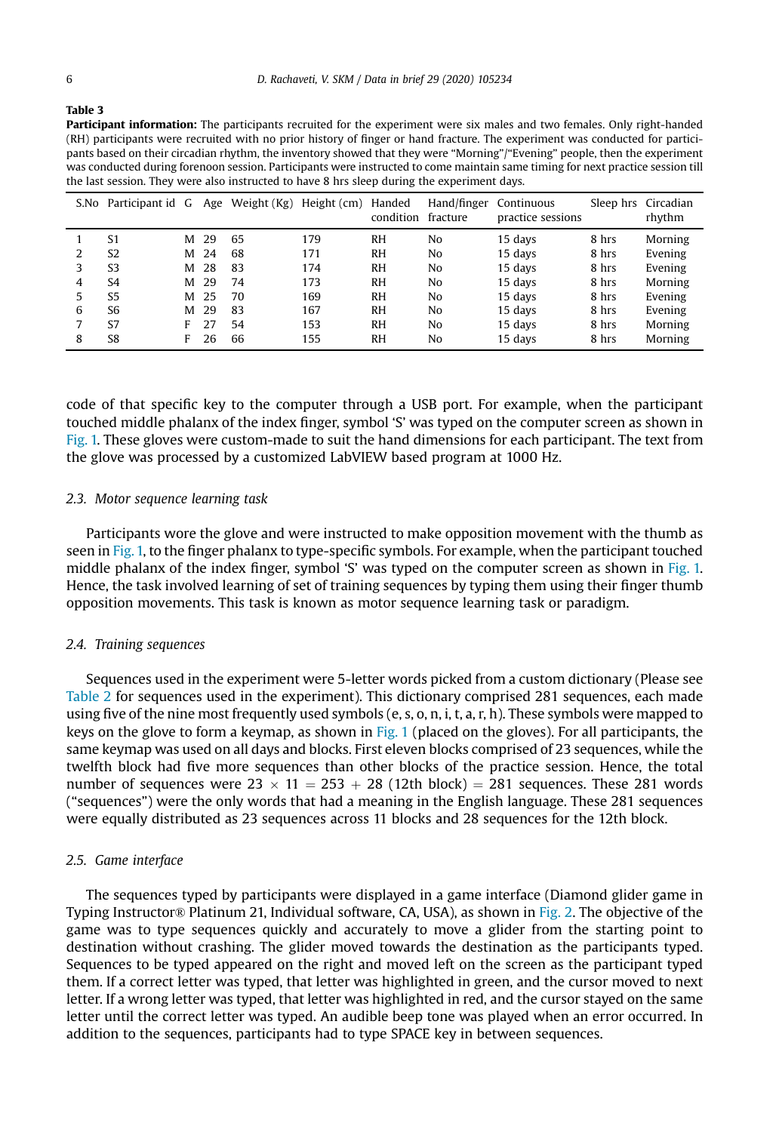|--|--|

| <b>Participant information:</b> The participants recruited for the experiment were six males and two females. Only right-handed |
|---------------------------------------------------------------------------------------------------------------------------------|
| (RH) participants were recruited with no prior history of finger or hand fracture. The experiment was conducted for partici-    |
| pants based on their circadian rhythm, the inventory showed that they were "Morning"/"Evening" people, then the experiment      |
| was conducted during forenoon session. Participants were instructed to come maintain same timing for next practice session till |
| the last session. They were also instructed to have 8 hrs sleep during the experiment days.                                     |

|   | S.No Participant id G |   | Age | Weight (Kg) | Height (cm) | Handed<br>condition fracture | Hand/finger | Continuous<br>practice sessions |       | Sleep hrs Circadian<br>rhythm |
|---|-----------------------|---|-----|-------------|-------------|------------------------------|-------------|---------------------------------|-------|-------------------------------|
|   | S1                    | м | 29  | 65          | 179         | RH                           | No          | 15 days                         | 8 hrs | Morning                       |
|   | S <sub>2</sub>        | м | 24  | 68          | 171         | RH                           | No          | 15 davs                         | 8 hrs | Evening                       |
| 3 | S <sub>3</sub>        | м | 28  | 83          | 174         | RH                           | No          | 15 davs                         | 8 hrs | Evening                       |
| 4 | S <sub>4</sub>        | м | 29  | 74          | 173         | <b>RH</b>                    | No          | 15 days                         | 8 hrs | Morning                       |
| 5 | S <sub>5</sub>        | м | 25  | 70          | 169         | RH                           | No          | 15 days                         | 8 hrs | Evening                       |
| 6 | S6                    | м | 29  | 83          | 167         | RH                           | No          | 15 davs                         | 8 hrs | Evening                       |
|   | S7                    | F | 27  | 54          | 153         | RH                           | No          | 15 days                         | 8 hrs | Morning                       |
| 8 | S8                    | F | 26  | 66          | 155         | <b>RH</b>                    | No          | 15 days                         | 8 hrs | Morning                       |

code of that specific key to the computer through a USB port. For example, when the participant touched middle phalanx of the index finger, symbol 'S' was typed on the computer screen as shown in Fig. 1. These gloves were custom-made to suit the hand dimensions for each participant. The text from the glove was processed by a customized LabVIEW based program at 1000 Hz.

#### *2.3. Motor sequence learning task*

Participants wore the glove and were instructed to make opposition movement with the thumb as seen in Fig. 1, to the finger phalanx to type-specific symbols. For example, when the participant touched middle phalanx of the index finger, symbol 'S' was typed on the computer screen as shown in Fig. 1. Hence, the task involved learning of set of training sequences by typing them using their finger thumb opposition movements. This task is known as motor sequence learning task or paradigm.

#### *2.4. Training sequences*

Sequences used in the experiment were 5-letter words picked from a custom dictionary (Please see Table 2 for sequences used in the experiment). This dictionary comprised 281 sequences, each made using five of the nine most frequently used symbols (e, s, o, n, i, t, a, r, h). These symbols were mapped to keys on the glove to form a keymap, as shown in Fig. 1 (placed on the gloves). For all participants, the same keymap was used on all days and blocks. First eleven blocks comprised of 23 sequences, while the twelfth block had five more sequences than other blocks of the practice session. Hence, the total number of sequences were  $23 \times 11 = 253 + 28$  (12th block) = 281 sequences. These 281 words ("sequences") were the only words that had a meaning in the English language. These 281 sequences were equally distributed as 23 sequences across 11 blocks and 28 sequences for the 12th block.

#### *2.5. Game interface*

The sequences typed by participants were displayed in a game interface (Diamond glider game in Typing Instructor® Platinum 21, Individual software, CA, USA), as shown in Fig. 2. The objective of the game was to type sequences quickly and accurately to move a glider from the starting point to destination without crashing. The glider moved towards the destination as the participants typed. Sequences to be typed appeared on the right and moved left on the screen as the participant typed them. If a correct letter was typed, that letter was highlighted in green, and the cursor moved to next letter. If a wrong letter was typed, that letter was highlighted in red, and the cursor stayed on the same letter until the correct letter was typed. An audible beep tone was played when an error occurred. In addition to the sequences, participants had to type SPACE key in between sequences.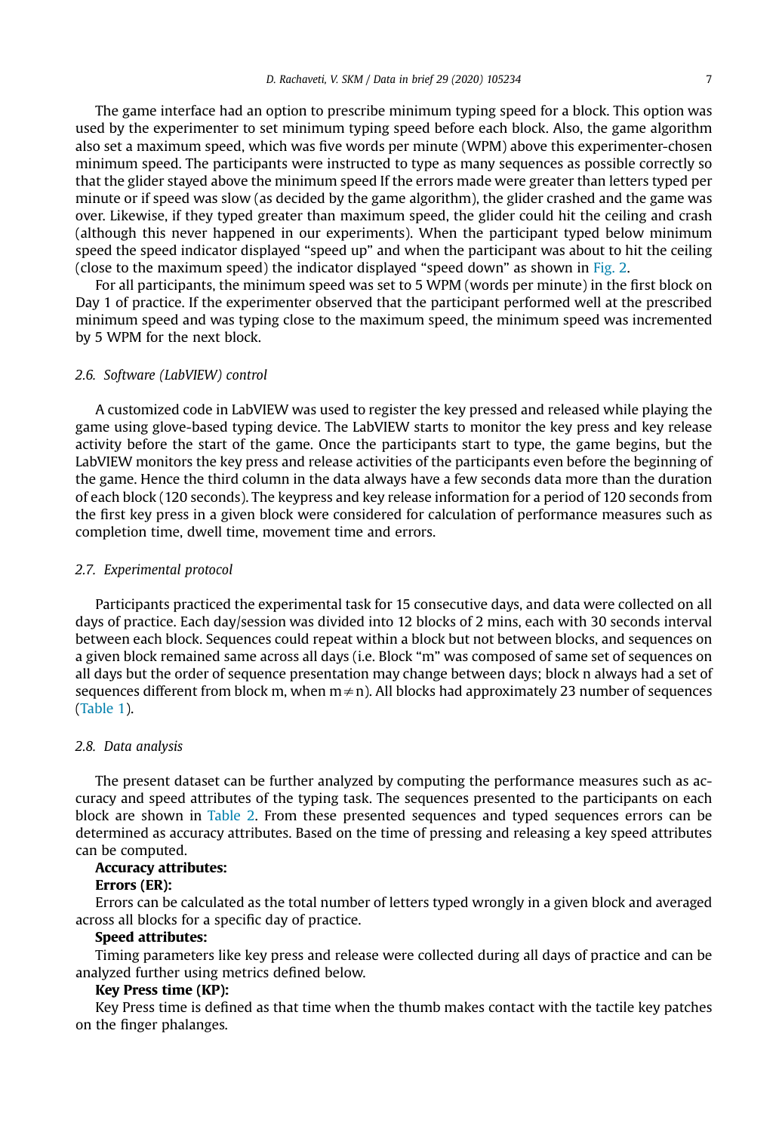The game interface had an option to prescribe minimum typing speed for a block. This option was used by the experimenter to set minimum typing speed before each block. Also, the game algorithm also set a maximum speed, which was five words per minute (WPM) above this experimenter-chosen minimum speed. The participants were instructed to type as many sequences as possible correctly so that the glider stayed above the minimum speed If the errors made were greater than letters typed per minute or if speed was slow (as decided by the game algorithm), the glider crashed and the game was over. Likewise, if they typed greater than maximum speed, the glider could hit the ceiling and crash (although this never happened in our experiments). When the participant typed below minimum speed the speed indicator displayed "speed up" and when the participant was about to hit the ceiling (close to the maximum speed) the indicator displayed "speed down" as shown in Fig. 2.

For all participants, the minimum speed was set to 5 WPM (words per minute) in the first block on Day 1 of practice. If the experimenter observed that the participant performed well at the prescribed minimum speed and was typing close to the maximum speed, the minimum speed was incremented by 5 WPM for the next block.

#### *2.6. Software (LabVIEW) control*

A customized code in LabVIEW was used to register the key pressed and released while playing the game using glove-based typing device. The LabVIEW starts to monitor the key press and key release activity before the start of the game. Once the participants start to type, the game begins, but the LabVIEW monitors the key press and release activities of the participants even before the beginning of the game. Hence the third column in the data always have a few seconds data more than the duration of each block (120 seconds). The keypress and key release information for a period of 120 seconds from the first key press in a given block were considered for calculation of performance measures such as completion time, dwell time, movement time and errors.

#### *2.7. Experimental protocol*

Participants practiced the experimental task for 15 consecutive days, and data were collected on all days of practice. Each day/session was divided into 12 blocks of 2 mins, each with 30 seconds interval between each block. Sequences could repeat within a block but not between blocks, and sequences on a given block remained same across all days (i.e. Block "m" was composed of same set of sequences on all days but the order of sequence presentation may change between days; block n always had a set of sequences different from block m, when  $m \neq n$ ). All blocks had approximately 23 number of sequences (Table 1).

#### *2.8. Data analysis*

The present dataset can be further analyzed by computing the performance measures such as accuracy and speed attributes of the typing task. The sequences presented to the participants on each block are shown in Table 2. From these presented sequences and typed sequences errors can be determined as accuracy attributes. Based on the time of pressing and releasing a key speed attributes can be computed.

#### Accuracy attributes:

#### Errors (ER):

Errors can be calculated as the total number of letters typed wrongly in a given block and averaged across all blocks for a specific day of practice.

## Speed attributes:

Timing parameters like key press and release were collected during all days of practice and can be analyzed further using metrics defined below.

# Key Press time (KP):

Key Press time is defined as that time when the thumb makes contact with the tactile key patches on the finger phalanges.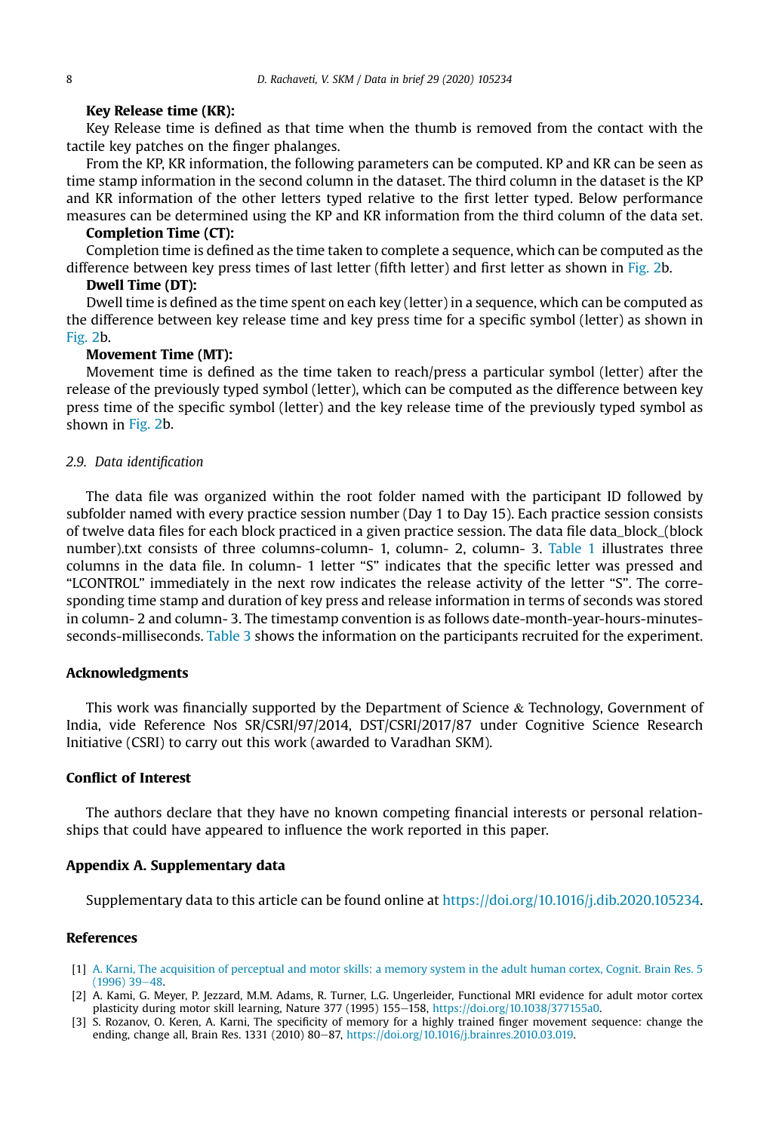#### Key Release time (KR):

Key Release time is defined as that time when the thumb is removed from the contact with the tactile key patches on the finger phalanges.

From the KP, KR information, the following parameters can be computed. KP and KR can be seen as time stamp information in the second column in the dataset. The third column in the dataset is the KP and KR information of the other letters typed relative to the first letter typed. Below performance measures can be determined using the KP and KR information from the third column of the data set.

#### Completion Time (CT):

Completion time is defined as the time taken to complete a sequence, which can be computed as the difference between key press times of last letter (fifth letter) and first letter as shown in Fig. 2b.

#### Dwell Time (DT):

Dwell time is defined as the time spent on each key (letter) in a sequence, which can be computed as the difference between key release time and key press time for a specific symbol (letter) as shown in Fig. 2b.

#### Movement Time (MT):

Movement time is defined as the time taken to reach/press a particular symbol (letter) after the release of the previously typed symbol (letter), which can be computed as the difference between key press time of the specific symbol (letter) and the key release time of the previously typed symbol as shown in Fig. 2b.

#### *2.9. Data identi*fi*cation*

The data file was organized within the root folder named with the participant ID followed by subfolder named with every practice session number (Day 1 to Day 15). Each practice session consists of twelve data files for each block practiced in a given practice session. The data file data\_block\_(block number).txt consists of three columns-column- 1, column- 2, column- 3. Table 1 illustrates three columns in the data file. In column- 1 letter "S" indicates that the specific letter was pressed and "LCONTROL" immediately in the next row indicates the release activity of the letter "S". The corresponding time stamp and duration of key press and release information in terms of seconds was stored in column- 2 and column- 3. The timestamp convention is as follows date-month-year-hours-minutesseconds-milliseconds. Table 3 shows the information on the participants recruited for the experiment.

# Acknowledgments

This work was financially supported by the Department of Science  $\&$  Technology, Government of India, vide Reference Nos SR/CSRI/97/2014, DST/CSRI/2017/87 under Cognitive Science Research Initiative (CSRI) to carry out this work (awarded to Varadhan SKM).

# Conflict of Interest

The authors declare that they have no known competing financial interests or personal relationships that could have appeared to influence the work reported in this paper.

#### Appendix A. Supplementary data

Supplementary data to this article can be found online at https://doi.org/10.1016/j.dib.2020.105234.

# References

- [1] A. Karni, The acquisition of perceptual and motor skills: a memory system in the adult human cortex, Cognit. Brain Res. 5  $(1996)$  39 $-48$ .
- [2] A. Kami, G. Meyer, P. Jezzard, M.M. Adams, R. Turner, L.G. Ungerleider, Functional MRI evidence for adult motor cortex plasticity during motor skill learning, Nature 377 (1995) 155-158, https://doi.org/10.1038/377155a0.
- [3] S. Rozanov, O. Keren, A. Karni, The specificity of memory for a highly trained finger movement sequence: change the ending, change all, Brain Res. 1331 (2010) 80-87, https://doi.org/10.1016/j.brainres.2010.03.019.